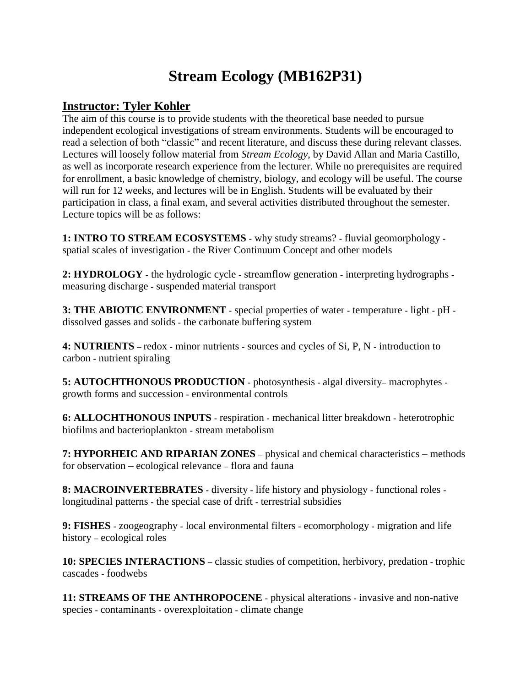## **Stream Ecology (MB162P31)**

## **Instructor: Tyler Kohler**

The aim of this course is to provide students with the theoretical base needed to pursue independent ecological investigations of stream environments. Students will be encouraged to read a selection of both "classic" and recent literature, and discuss these during relevant classes. Lectures will loosely follow material from *Stream Ecology*, by David Allan and Maria Castillo, as well as incorporate research experience from the lecturer. While no prerequisites are required for enrollment, a basic knowledge of chemistry, biology, and ecology will be useful. The course will run for 12 weeks, and lectures will be in English. Students will be evaluated by their participation in class, a final exam, and several activities distributed throughout the semester. Lecture topics will be as follows:

**1: INTRO TO STREAM ECOSYSTEMS -** why study streams? **-** fluvial geomorphology  spatial scales of investigation **-** the River Continuum Concept and other models

**2: HYDROLOGY -** the hydrologic cycle **-** streamflow generation **-** interpreting hydrographs  measuring discharge **-** suspended material transport

**3: THE ABIOTIC ENVIRONMENT -** special properties of water **-** temperature **-** light **-** pH  dissolved gasses and solids **-** the carbonate buffering system

**4: NUTRIENTS –** redox **-** minor nutrients **-** sources and cycles of Si, P, N **-** introduction to carbon **-** nutrient spiraling

**5: AUTOCHTHONOUS PRODUCTION -** photosynthesis **-** algal diversity**–** macrophytes  growth forms and succession **-** environmental controls

**6: ALLOCHTHONOUS INPUTS -** respiration **-** mechanical litter breakdown **-** heterotrophic biofilms and bacterioplankton **-** stream metabolism

**7: HYPORHEIC AND RIPARIAN ZONES –** physical and chemical characteristics – methods for observation – ecological relevance **–** flora and fauna

**8: MACROINVERTEBRATES -** diversity **-** life history and physiology **-** functional roles  longitudinal patterns **-** the special case of drift **-** terrestrial subsidies

**9: FISHES -** zoogeography **-** local environmental filters **-** ecomorphology **-** migration and life history **–** ecological roles

**10: SPECIES INTERACTIONS –** classic studies of competition, herbivory, predation **-** trophic cascades **-** foodwebs

**11: STREAMS OF THE ANTHROPOCENE -** physical alterations **-** invasive and non-native species **-** contaminants **-** overexploitation **-** climate change